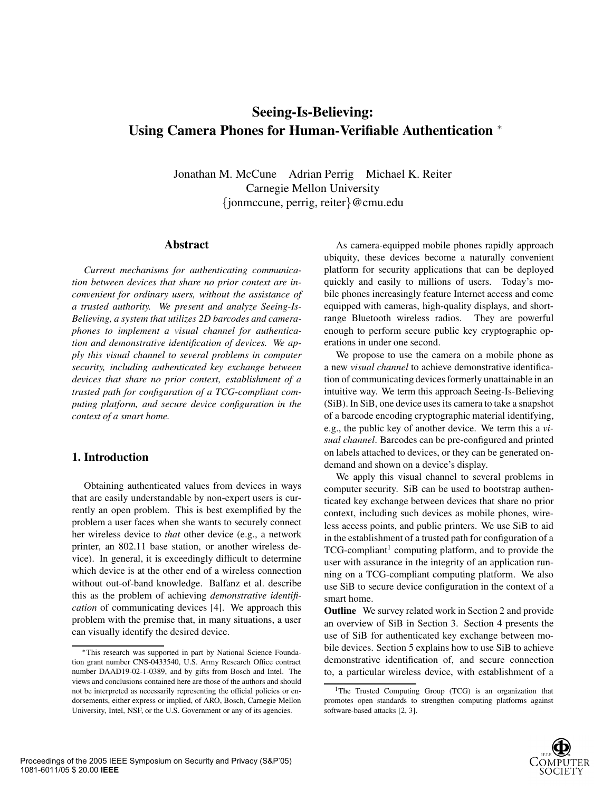# esseng-<br><sub>O</sub>s for Humon Vorifi **Using Camera Phones for Human-Verifiable Authentication** <sup>∗</sup>

Jonathan M. McCune Adrian Perrig Michael K. Reiter Carnegie Mellon University {jonmccune, perrig, reiter}@cmu.edu

#### **Abstract**

*Current mechanisms for authenticating communication between devices that share no prior context are inconvenient for ordinary users, without the assistance of a trusted authority. We present and analyze Seeing-Is-Believing, a system that utilizes 2D barcodes and cameraphones to implement a visual channel for authentication and demonstrative identification of devices. We apply this visual channel to several problems in computer security, including authenticated key exchange between devices that share no prior context, establishment of a trusted path for configuration of a TCG-compliant computing platform, and secure device configuration in the context of a smart home.*

#### **1. Introduction**

Obtaining authenticated values from devices in ways that are easily understandable by non-expert users is currently an open problem. This is best exemplified by the problem a user faces when she wants to securely connect her wireless device to *that* other device (e.g., a network printer, an 802.11 base station, or another wireless device). In general, it is exceedingly difficult to determine which device is at the other end of a wireless connection without out-of-band knowledge. Balfanz et al. describe this as the problem of achieving *demonstrative identification* of communicating devices [4]. We approach this problem with the premise that, in many situations, a user can visually identify the desired device.

As camera-equipped mobile phones rapidly approach ubiquity, these devices become a naturally convenient platform for security applications that can be deployed quickly and easily to millions of users. Today's mobile phones increasingly feature Internet access and come equipped with cameras, high-quality displays, and shortrange Bluetooth wireless radios. They are powerful enough to perform secure public key cryptographic operations in under one second.

We propose to use the camera on a mobile phone as a new *visual channel* to achieve demonstrative identification of communicating devices formerly unattainable in an intuitive way. We term this approach Seeing-Is-Believing (SiB). In SiB, one device uses its camera to take a snapshot of a barcode encoding cryptographic material identifying, e.g., the public key of another device. We term this a *visual channel*. Barcodes can be pre-configured and printed on labels attached to devices, or they can be generated ondemand and shown on a device's display.

We apply this visual channel to several problems in computer security. SiB can be used to bootstrap authenticated key exchange between devices that share no prior context, including such devices as mobile phones, wireless access points, and public printers. We use SiB to aid in the establishment of a trusted path for configuration of a  $TCG$ -compliant<sup>1</sup> computing platform, and to provide the user with assurance in the integrity of an application running on a TCG-compliant computing platform. We also use SiB to secure device configuration in the context of a smart home.

**Outline** We survey related work in Section 2 and provide an overview of SiB in Section 3. Section 4 presents the use of SiB for authenticated key exchange between mobile devices. Section 5 explains how to use SiB to achieve demonstrative identification of, and secure connection to, a particular wireless device, with establishment of a

<sup>∗</sup>This research was supported in part by National Science Foundation grant number CNS-0433540, U.S. Army Research Office contract number DAAD19-02-1-0389, and by gifts from Bosch and Intel. The views and conclusions contained here are those of the authors and should not be interpreted as necessarily representing the official policies or endorsements, either express or implied, of ARO, Bosch, Carnegie Mellon University, Intel, NSF, or the U.S. Government or any of its agencies.

<sup>&</sup>lt;sup>1</sup>The Trusted Computing Group (TCG) is an organization that promotes open standards to strengthen computing platforms against software-based attacks [2, 3].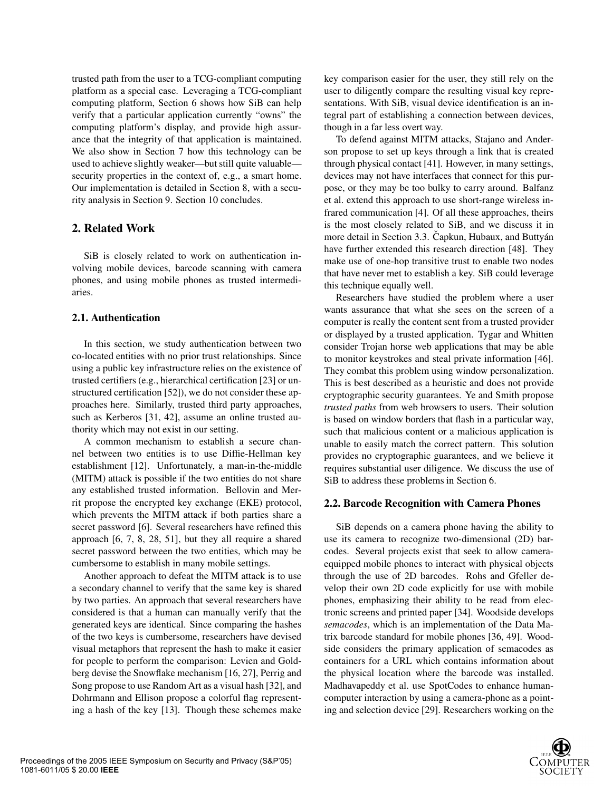trusted path from the user to a TCG-compliant computing platform as a special case. Leveraging a TCG-compliant computing platform, Section 6 shows how SiB can help verify that a particular application currently "owns" the computing platform's display, and provide high assurance that the integrity of that application is maintained. We also show in Section 7 how this technology can be used to achieve slightly weaker—but still quite valuable security properties in the context of, e.g., a smart home. Our implementation is detailed in Section 8, with a security analysis in Section 9. Section 10 concludes.

# **2. Related Work**

SiB is closely related to work on authentication involving mobile devices, barcode scanning with camera phones, and using mobile phones as trusted intermediaries.

# **2.1. Authentication**

In this section, we study authentication between two co-located entities with no prior trust relationships. Since using a public key infrastructure relies on the existence of trusted certifiers (e.g., hierarchical certification [23] or unstructured certification [52]), we do not consider these approaches here. Similarly, trusted third party approaches, such as Kerberos [31, 42], assume an online trusted authority which may not exist in our setting.

A common mechanism to establish a secure channel between two entities is to use Diffie-Hellman key establishment [12]. Unfortunately, a man-in-the-middle (MITM) attack is possible if the two entities do not share any established trusted information. Bellovin and Merrit propose the encrypted key exchange (EKE) protocol, which prevents the MITM attack if both parties share a secret password [6]. Several researchers have refined this approach [6, 7, 8, 28, 51], but they all require a shared secret password between the two entities, which may be cumbersome to establish in many mobile settings.

Another approach to defeat the MITM attack is to use a secondary channel to verify that the same key is shared by two parties. An approach that several researchers have considered is that a human can manually verify that the generated keys are identical. Since comparing the hashes of the two keys is cumbersome, researchers have devised visual metaphors that represent the hash to make it easier for people to perform the comparison: Levien and Goldberg devise the Snowflake mechanism [16, 27], Perrig and Song propose to use Random Art as a visual hash [32], and Dohrmann and Ellison propose a colorful flag representing a hash of the key [13]. Though these schemes make key comparison easier for the user, they still rely on the user to diligently compare the resulting visual key representations. With SiB, visual device identification is an integral part of establishing a connection between devices, though in a far less overt way.

To defend against MITM attacks, Stajano and Anderson propose to set up keys through a link that is created through physical contact [41]. However, in many settings, devices may not have interfaces that connect for this purpose, or they may be too bulky to carry around. Balfanz et al. extend this approach to use short-range wireless infrared communication [4]. Of all these approaches, theirs is the most closely related to SiB, and we discuss it in more detail in Section 3.3. Capkun, Hubaux, and Buttyán have further extended this research direction [48]. They make use of one-hop transitive trust to enable two nodes that have never met to establish a key. SiB could leverage this technique equally well.

Researchers have studied the problem where a user wants assurance that what she sees on the screen of a computer is really the content sent from a trusted provider or displayed by a trusted application. Tygar and Whitten consider Trojan horse web applications that may be able to monitor keystrokes and steal private information [46]. They combat this problem using window personalization. This is best described as a heuristic and does not provide cryptographic security guarantees. Ye and Smith propose *trusted paths* from web browsers to users. Their solution is based on window borders that flash in a particular way, such that malicious content or a malicious application is unable to easily match the correct pattern. This solution provides no cryptographic guarantees, and we believe it requires substantial user diligence. We discuss the use of SiB to address these problems in Section 6.

#### **2.2. Barcode Recognition with Camera Phones**

SiB depends on a camera phone having the ability to use its camera to recognize two-dimensional (2D) barcodes. Several projects exist that seek to allow cameraequipped mobile phones to interact with physical objects through the use of 2D barcodes. Rohs and Gfeller develop their own 2D code explicitly for use with mobile phones, emphasizing their ability to be read from electronic screens and printed paper [34]. Woodside develops *semacodes*, which is an implementation of the Data Matrix barcode standard for mobile phones [36, 49]. Woodside considers the primary application of semacodes as containers for a URL which contains information about the physical location where the barcode was installed. Madhavapeddy et al. use SpotCodes to enhance humancomputer interaction by using a camera-phone as a pointing and selection device [29]. Researchers working on the

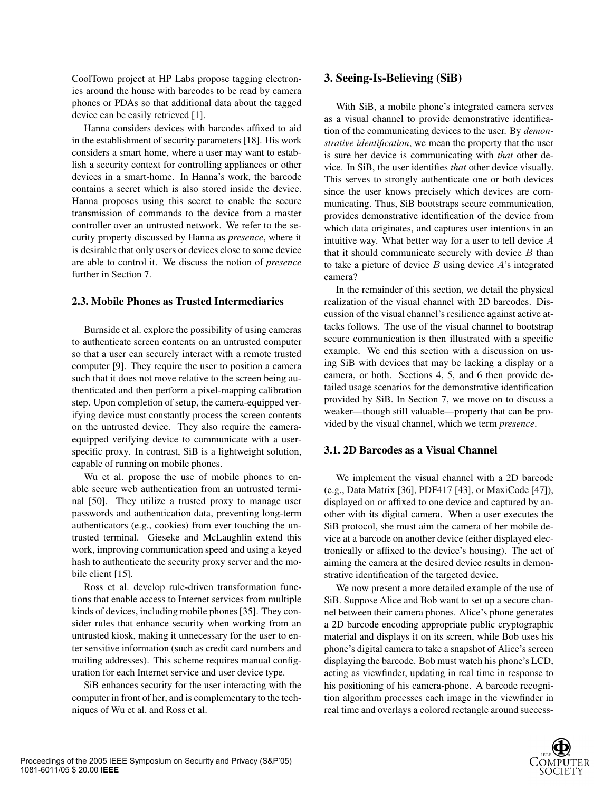CoolTown project at HP Labs propose tagging electronics around the house with barcodes to be read by camera phones or PDAs so that additional data about the tagged device can be easily retrieved [1].

Hanna considers devices with barcodes affixed to aid in the establishment of security parameters [18]. His work considers a smart home, where a user may want to establish a security context for controlling appliances or other devices in a smart-home. In Hanna's work, the barcode contains a secret which is also stored inside the device. Hanna proposes using this secret to enable the secure transmission of commands to the device from a master controller over an untrusted network. We refer to the security property discussed by Hanna as *presence*, where it is desirable that only users or devices close to some device are able to control it. We discuss the notion of *presence* further in Section 7.

#### **2.3. Mobile Phones as Trusted Intermediaries**

Burnside et al. explore the possibility of using cameras to authenticate screen contents on an untrusted computer so that a user can securely interact with a remote trusted computer [9]. They require the user to position a camera such that it does not move relative to the screen being authenticated and then perform a pixel-mapping calibration step. Upon completion of setup, the camera-equipped verifying device must constantly process the screen contents on the untrusted device. They also require the cameraequipped verifying device to communicate with a userspecific proxy. In contrast, SiB is a lightweight solution, capable of running on mobile phones.

Wu et al. propose the use of mobile phones to enable secure web authentication from an untrusted terminal [50]. They utilize a trusted proxy to manage user passwords and authentication data, preventing long-term authenticators (e.g., cookies) from ever touching the untrusted terminal. Gieseke and McLaughlin extend this work, improving communication speed and using a keyed hash to authenticate the security proxy server and the mobile client [15].

Ross et al. develop rule-driven transformation functions that enable access to Internet services from multiple kinds of devices, including mobile phones [35]. They consider rules that enhance security when working from an untrusted kiosk, making it unnecessary for the user to enter sensitive information (such as credit card numbers and mailing addresses). This scheme requires manual configuration for each Internet service and user device type.

SiB enhances security for the user interacting with the computer in front of her, and is complementary to the techniques of Wu et al. and Ross et al.

# **3. Seeing-Is-Believing (SiB)**

With SiB, a mobile phone's integrated camera serves as a visual channel to provide demonstrative identification of the communicating devices to the user. By *demonstrative identification*, we mean the property that the user is sure her device is communicating with *that* other device. In SiB, the user identifies *that* other device visually. This serves to strongly authenticate one or both devices since the user knows precisely which devices are communicating. Thus, SiB bootstraps secure communication, provides demonstrative identification of the device from which data originates, and captures user intentions in an intuitive way. What better way for a user to tell device A that it should communicate securely with device  $B$  than to take a picture of device  $B$  using device  $A$ 's integrated camera?

In the remainder of this section, we detail the physical realization of the visual channel with 2D barcodes. Discussion of the visual channel's resilience against active attacks follows. The use of the visual channel to bootstrap secure communication is then illustrated with a specific example. We end this section with a discussion on using SiB with devices that may be lacking a display or a camera, or both. Sections 4, 5, and 6 then provide detailed usage scenarios for the demonstrative identification provided by SiB. In Section 7, we move on to discuss a weaker—though still valuable—property that can be provided by the visual channel, which we term *presence*.

# **3.1. 2D Barcodes as a Visual Channel**

We implement the visual channel with a 2D barcode (e.g., Data Matrix [36], PDF417 [43], or MaxiCode [47]), displayed on or affixed to one device and captured by another with its digital camera. When a user executes the SiB protocol, she must aim the camera of her mobile device at a barcode on another device (either displayed electronically or affixed to the device's housing). The act of aiming the camera at the desired device results in demonstrative identification of the targeted device.

We now present a more detailed example of the use of SiB. Suppose Alice and Bob want to set up a secure channel between their camera phones. Alice's phone generates a 2D barcode encoding appropriate public cryptographic material and displays it on its screen, while Bob uses his phone's digital camera to take a snapshot of Alice's screen displaying the barcode. Bob must watch his phone's LCD, acting as viewfinder, updating in real time in response to his positioning of his camera-phone. A barcode recognition algorithm processes each image in the viewfinder in real time and overlays a colored rectangle around success-

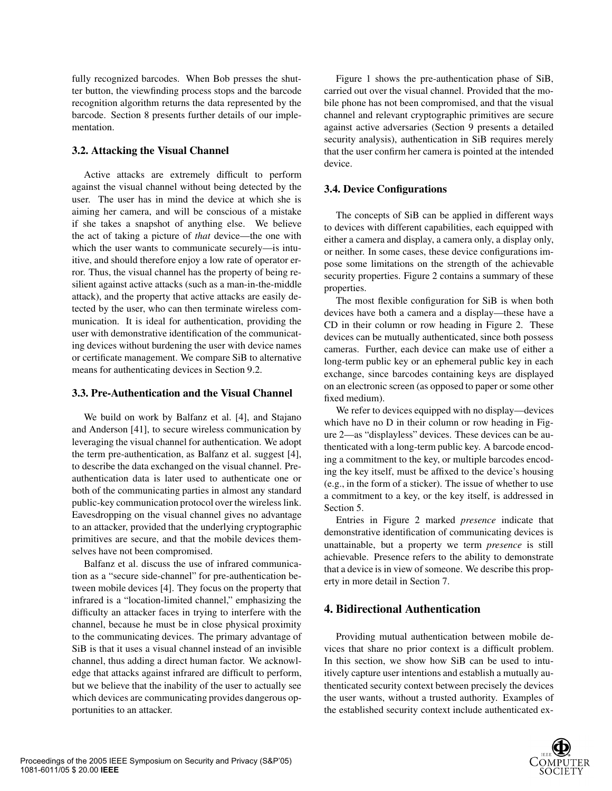fully recognized barcodes. When Bob presses the shutter button, the viewfinding process stops and the barcode recognition algorithm returns the data represented by the barcode. Section 8 presents further details of our implementation.

# **3.2. Attacking the Visual Channel**

Active attacks are extremely difficult to perform against the visual channel without being detected by the user. The user has in mind the device at which she is aiming her camera, and will be conscious of a mistake if she takes a snapshot of anything else. We believe the act of taking a picture of *that* device—the one with which the user wants to communicate securely—is intuitive, and should therefore enjoy a low rate of operator error. Thus, the visual channel has the property of being resilient against active attacks (such as a man-in-the-middle attack), and the property that active attacks are easily detected by the user, who can then terminate wireless communication. It is ideal for authentication, providing the user with demonstrative identification of the communicating devices without burdening the user with device names or certificate management. We compare SiB to alternative means for authenticating devices in Section 9.2.

# **3.3. Pre-Authentication and the Visual Channel**

We build on work by Balfanz et al. [4], and Stajano and Anderson [41], to secure wireless communication by leveraging the visual channel for authentication. We adopt the term pre-authentication, as Balfanz et al. suggest [4], to describe the data exchanged on the visual channel. Preauthentication data is later used to authenticate one or both of the communicating parties in almost any standard public-key communication protocol over the wireless link. Eavesdropping on the visual channel gives no advantage to an attacker, provided that the underlying cryptographic primitives are secure, and that the mobile devices themselves have not been compromised.

Balfanz et al. discuss the use of infrared communication as a "secure side-channel" for pre-authentication between mobile devices [4]. They focus on the property that infrared is a "location-limited channel," emphasizing the difficulty an attacker faces in trying to interfere with the channel, because he must be in close physical proximity to the communicating devices. The primary advantage of SiB is that it uses a visual channel instead of an invisible channel, thus adding a direct human factor. We acknowledge that attacks against infrared are difficult to perform, but we believe that the inability of the user to actually see which devices are communicating provides dangerous opportunities to an attacker.

Figure 1 shows the pre-authentication phase of SiB, carried out over the visual channel. Provided that the mobile phone has not been compromised, and that the visual channel and relevant cryptographic primitives are secure against active adversaries (Section 9 presents a detailed security analysis), authentication in SiB requires merely that the user confirm her camera is pointed at the intended device.

# **3.4. Device Configurations**

The concepts of SiB can be applied in different ways to devices with different capabilities, each equipped with either a camera and display, a camera only, a display only, or neither. In some cases, these device configurations impose some limitations on the strength of the achievable security properties. Figure 2 contains a summary of these properties.

The most flexible configuration for SiB is when both devices have both a camera and a display—these have a CD in their column or row heading in Figure 2. These devices can be mutually authenticated, since both possess cameras. Further, each device can make use of either a long-term public key or an ephemeral public key in each exchange, since barcodes containing keys are displayed on an electronic screen (as opposed to paper or some other fixed medium).

We refer to devices equipped with no display—devices which have no D in their column or row heading in Figure 2—as "displayless" devices. These devices can be authenticated with a long-term public key. A barcode encoding a commitment to the key, or multiple barcodes encoding the key itself, must be affixed to the device's housing (e.g., in the form of a sticker). The issue of whether to use a commitment to a key, or the key itself, is addressed in Section 5.

Entries in Figure 2 marked *presence* indicate that demonstrative identification of communicating devices is unattainable, but a property we term *presence* is still achievable. Presence refers to the ability to demonstrate that a device is in view of someone. We describe this property in more detail in Section 7.

# **4. Bidirectional Authentication**

Providing mutual authentication between mobile devices that share no prior context is a difficult problem. In this section, we show how SiB can be used to intuitively capture user intentions and establish a mutually authenticated security context between precisely the devices the user wants, without a trusted authority. Examples of the established security context include authenticated ex-

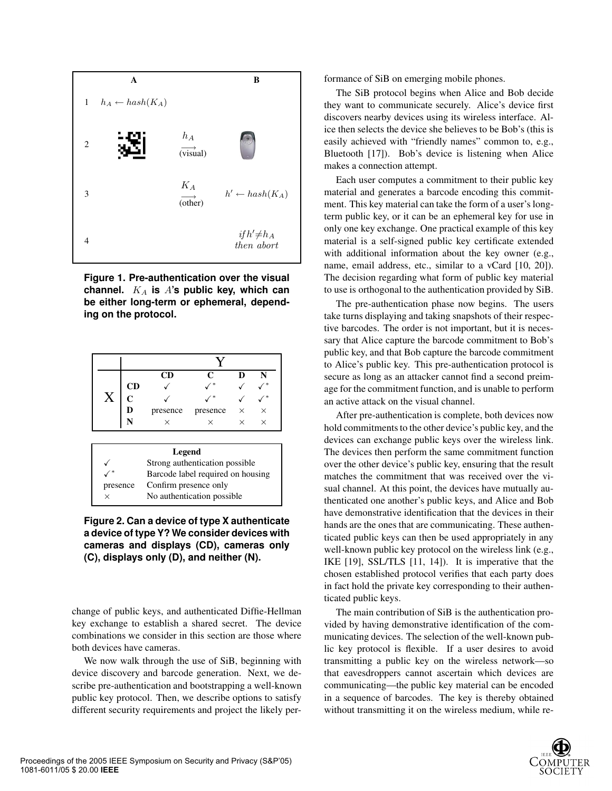

**Figure 1. Pre-authentication over the visual channel.** K<sup>A</sup> **is** A**'s public key, which can be either long-term or ephemeral, depending on the protocol.**

| X                              |           | CD                                | C        | D        | N        |  |  |
|--------------------------------|-----------|-----------------------------------|----------|----------|----------|--|--|
|                                | <b>CD</b> |                                   |          |          |          |  |  |
|                                | C         |                                   |          |          |          |  |  |
|                                | D         | presence                          | presence | $\times$ | ×        |  |  |
|                                | N         | $\times$                          | ×        | $\times$ | $\times$ |  |  |
|                                |           | Legend                            |          |          |          |  |  |
| Strong authentication possible |           |                                   |          |          |          |  |  |
|                                |           | Barcode label required on housing |          |          |          |  |  |
| presence                       |           | Confirm presence only             |          |          |          |  |  |
| ×                              |           | No authentication possible.       |          |          |          |  |  |

**Figure 2. Can a device of type X authenticate a device of type Y? We consider devices with cameras and displays (CD), cameras only (C), displays only (D), and neither (N).**

change of public keys, and authenticated Diffie-Hellman key exchange to establish a shared secret. The device combinations we consider in this section are those where both devices have cameras.

We now walk through the use of SiB, beginning with device discovery and barcode generation. Next, we describe pre-authentication and bootstrapping a well-known public key protocol. Then, we describe options to satisfy different security requirements and project the likely performance of SiB on emerging mobile phones.

The SiB protocol begins when Alice and Bob decide they want to communicate securely. Alice's device first discovers nearby devices using its wireless interface. Alice then selects the device she believes to be Bob's (this is easily achieved with "friendly names" common to, e.g., Bluetooth [17]). Bob's device is listening when Alice makes a connection attempt.

Each user computes a commitment to their public key material and generates a barcode encoding this commitment. This key material can take the form of a user's longterm public key, or it can be an ephemeral key for use in only one key exchange. One practical example of this key material is a self-signed public key certificate extended with additional information about the key owner (e.g., name, email address, etc., similar to a vCard [10, 20]). The decision regarding what form of public key material to use is orthogonal to the authentication provided by SiB.

The pre-authentication phase now begins. The users take turns displaying and taking snapshots of their respective barcodes. The order is not important, but it is necessary that Alice capture the barcode commitment to Bob's public key, and that Bob capture the barcode commitment to Alice's public key. This pre-authentication protocol is secure as long as an attacker cannot find a second preimage for the commitment function, and is unable to perform an active attack on the visual channel.

After pre-authentication is complete, both devices now hold commitments to the other device's public key, and the devices can exchange public keys over the wireless link. The devices then perform the same commitment function over the other device's public key, ensuring that the result matches the commitment that was received over the visual channel. At this point, the devices have mutually authenticated one another's public keys, and Alice and Bob have demonstrative identification that the devices in their hands are the ones that are communicating. These authenticated public keys can then be used appropriately in any well-known public key protocol on the wireless link (e.g., IKE [19], SSL/TLS [11, 14]). It is imperative that the chosen established protocol verifies that each party does in fact hold the private key corresponding to their authenticated public keys.

The main contribution of SiB is the authentication provided by having demonstrative identification of the communicating devices. The selection of the well-known public key protocol is flexible. If a user desires to avoid transmitting a public key on the wireless network—so that eavesdroppers cannot ascertain which devices are communicating—the public key material can be encoded in a sequence of barcodes. The key is thereby obtained without transmitting it on the wireless medium, while re-

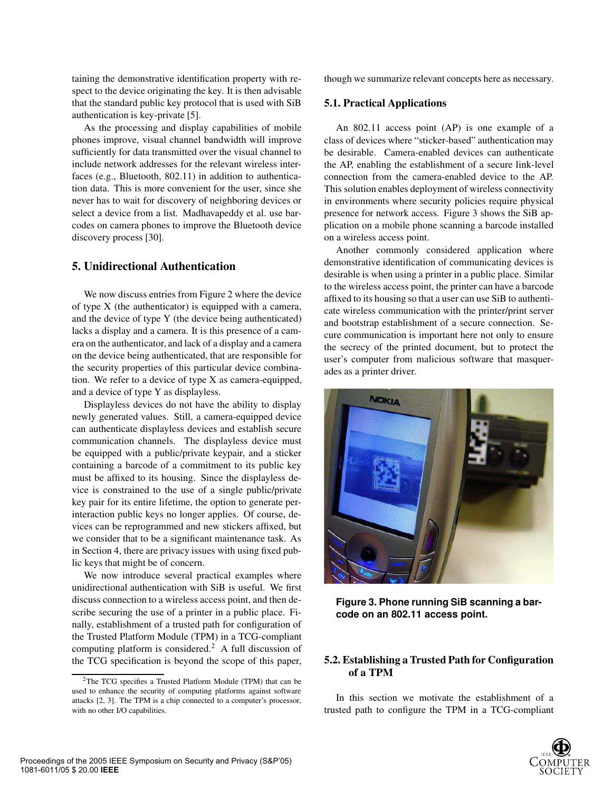taining the demonstrative identification property with respect to the device originating the key. It is then advisable that the standard public key protocol that is used with SiB authentication is key-private [5].

As the processing and display capabilities of mobile phones improve, visual channel bandwidth will improve sufficiently for data transmitted over the visual channel to include network addresses for the relevant wireless interfaces (e.g., Bluetooth, 802.11) in addition to authentication data. This is more convenient for the user, since she never has to wait for discovery of neighboring devices or select a device from a list. Madhavapeddy et al. use barcodes on camera phones to improve the Bluetooth device discovery process [30].

# **5. Unidirectional Authentication**

We now discuss entries from Figure 2 where the device of type X (the authenticator) is equipped with a camera, and the device of type Y (the device being authenticated) lacks a display and a camera. It is this presence of a camera on the authenticator, and lack of a display and a camera on the device being authenticated, that are responsible for the security properties of this particular device combination. We refer to a device of type X as camera-equipped, and a device of type Y as displayless.

Displayless devices do not have the ability to display newly generated values. Still, a camera-equipped device can authenticate displayless devices and establish secure communication channels. The displayless device must be equipped with a public/private keypair, and a sticker containing a barcode of a commitment to its public key must be affixed to its housing. Since the displayless device is constrained to the use of a single public/private key pair for its entire lifetime, the option to generate perinteraction public keys no longer applies. Of course, devices can be reprogrammed and new stickers affixed, but we consider that to be a significant maintenance task. As in Section 4, there are privacy issues with using fixed public keys that might be of concern.

We now introduce several practical examples where unidirectional authentication with SiB is useful. We first discuss connection to a wireless access point, and then describe securing the use of a printer in a public place. Finally, establishment of a trusted path for configuration of the Trusted Platform Module (TPM) in a TCG-compliant computing platform is considered.<sup>2</sup> A full discussion of the TCG specification is beyond the scope of this paper,

though we summarize relevant concepts here as necessary.

#### **5.1. Practical Applications**

An 802.11 access point (AP) is one example of a class of devices where "sticker-based" authentication may be desirable. Camera-enabled devices can authenticate the AP, enabling the establishment of a secure link-level connection from the camera-enabled device to the AP. This solution enables deployment of wireless connectivity in environments where security policies require physical presence for network access. Figure 3 shows the SiB application on a mobile phone scanning a barcode installed on a wireless access point.

Another commonly considered application where demonstrative identification of communicating devices is desirable is when using a printer in a public place. Similar to the wireless access point, the printer can have a barcode affixed to its housing so that a user can use SiB to authenticate wireless communication with the printer/print server and bootstrap establishment of a secure connection. Secure communication is important here not only to ensure the secrecy of the printed document, but to protect the user's computer from malicious software that masquerades as a printer driver.



**Figure 3. Phone running SiB scanning a barcode on an 802.11 access point.**

## **5.2. Establishing a Trusted Path for Configuration of a TPM**

In this section we motivate the establishment of a trusted path to configure the TPM in a TCG-compliant



 $2$ The TCG specifies a Trusted Platform Module (TPM) that can be used to enhance the security of computing platforms against software attacks [2, 3]. The TPM is a chip connected to a computer's processor, with no other I/O capabilities.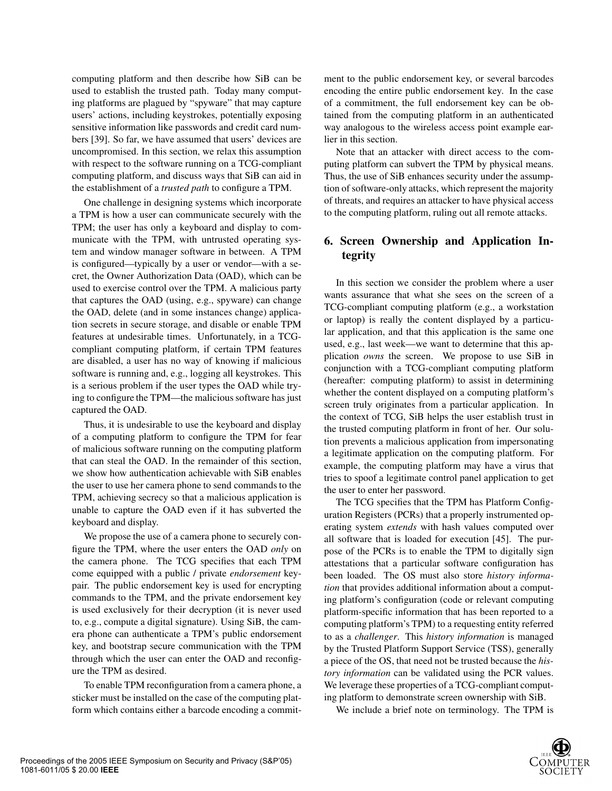computing platform and then describe how SiB can be used to establish the trusted path. Today many computing platforms are plagued by "spyware" that may capture users' actions, including keystrokes, potentially exposing sensitive information like passwords and credit card numbers [39]. So far, we have assumed that users' devices are uncompromised. In this section, we relax this assumption with respect to the software running on a TCG-compliant computing platform, and discuss ways that SiB can aid in the establishment of a *trusted path* to configure a TPM.

One challenge in designing systems which incorporate a TPM is how a user can communicate securely with the TPM; the user has only a keyboard and display to communicate with the TPM, with untrusted operating system and window manager software in between. A TPM is configured—typically by a user or vendor—with a secret, the Owner Authorization Data (OAD), which can be used to exercise control over the TPM. A malicious party that captures the OAD (using, e.g., spyware) can change the OAD, delete (and in some instances change) application secrets in secure storage, and disable or enable TPM features at undesirable times. Unfortunately, in a TCGcompliant computing platform, if certain TPM features are disabled, a user has no way of knowing if malicious software is running and, e.g., logging all keystrokes. This is a serious problem if the user types the OAD while trying to configure the TPM—the malicious software has just captured the OAD.

Thus, it is undesirable to use the keyboard and display of a computing platform to configure the TPM for fear of malicious software running on the computing platform that can steal the OAD. In the remainder of this section, we show how authentication achievable with SiB enables the user to use her camera phone to send commands to the TPM, achieving secrecy so that a malicious application is unable to capture the OAD even if it has subverted the keyboard and display.

We propose the use of a camera phone to securely configure the TPM, where the user enters the OAD *only* on the camera phone. The TCG specifies that each TPM come equipped with a public / private *endorsement* keypair. The public endorsement key is used for encrypting commands to the TPM, and the private endorsement key is used exclusively for their decryption (it is never used to, e.g., compute a digital signature). Using SiB, the camera phone can authenticate a TPM's public endorsement key, and bootstrap secure communication with the TPM through which the user can enter the OAD and reconfigure the TPM as desired.

To enable TPM reconfiguration from a camera phone, a sticker must be installed on the case of the computing platform which contains either a barcode encoding a commitment to the public endorsement key, or several barcodes encoding the entire public endorsement key. In the case of a commitment, the full endorsement key can be obtained from the computing platform in an authenticated way analogous to the wireless access point example earlier in this section.

Note that an attacker with direct access to the computing platform can subvert the TPM by physical means. Thus, the use of SiB enhances security under the assumption of software-only attacks, which represent the majority of threats, and requires an attacker to have physical access to the computing platform, ruling out all remote attacks.

# **6. Screen Ownership and Application Integrity**

In this section we consider the problem where a user wants assurance that what she sees on the screen of a TCG-compliant computing platform (e.g., a workstation or laptop) is really the content displayed by a particular application, and that this application is the same one used, e.g., last week—we want to determine that this application *owns* the screen. We propose to use SiB in conjunction with a TCG-compliant computing platform (hereafter: computing platform) to assist in determining whether the content displayed on a computing platform's screen truly originates from a particular application. In the context of TCG, SiB helps the user establish trust in the trusted computing platform in front of her. Our solution prevents a malicious application from impersonating a legitimate application on the computing platform. For example, the computing platform may have a virus that tries to spoof a legitimate control panel application to get the user to enter her password.

The TCG specifies that the TPM has Platform Configuration Registers (PCRs) that a properly instrumented operating system *extends* with hash values computed over all software that is loaded for execution [45]. The purpose of the PCRs is to enable the TPM to digitally sign attestations that a particular software configuration has been loaded. The OS must also store *history information* that provides additional information about a computing platform's configuration (code or relevant computing platform-specific information that has been reported to a computing platform's TPM) to a requesting entity referred to as a *challenger*. This *history information* is managed by the Trusted Platform Support Service (TSS), generally a piece of the OS, that need not be trusted because the *history information* can be validated using the PCR values. We leverage these properties of a TCG-compliant computing platform to demonstrate screen ownership with SiB.

We include a brief note on terminology. The TPM is

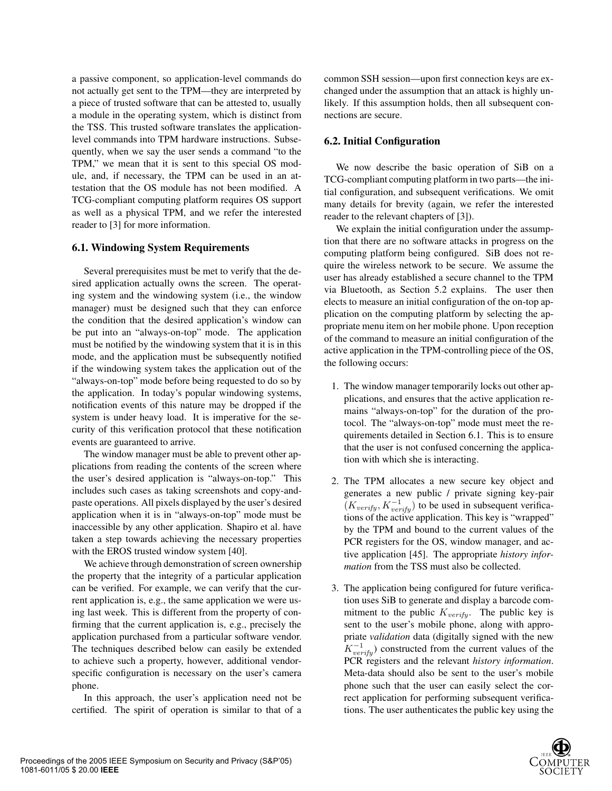a passive component, so application-level commands do not actually get sent to the TPM—they are interpreted by a piece of trusted software that can be attested to, usually a module in the operating system, which is distinct from the TSS. This trusted software translates the applicationlevel commands into TPM hardware instructions. Subsequently, when we say the user sends a command "to the TPM," we mean that it is sent to this special OS module, and, if necessary, the TPM can be used in an attestation that the OS module has not been modified. A TCG-compliant computing platform requires OS support as well as a physical TPM, and we refer the interested reader to [3] for more information.

## **6.1. Windowing System Requirements**

Several prerequisites must be met to verify that the desired application actually owns the screen. The operating system and the windowing system (i.e., the window manager) must be designed such that they can enforce the condition that the desired application's window can be put into an "always-on-top" mode. The application must be notified by the windowing system that it is in this mode, and the application must be subsequently notified if the windowing system takes the application out of the "always-on-top" mode before being requested to do so by the application. In today's popular windowing systems, notification events of this nature may be dropped if the system is under heavy load. It is imperative for the security of this verification protocol that these notification events are guaranteed to arrive.

The window manager must be able to prevent other applications from reading the contents of the screen where the user's desired application is "always-on-top." This includes such cases as taking screenshots and copy-andpaste operations. All pixels displayed by the user's desired application when it is in "always-on-top" mode must be inaccessible by any other application. Shapiro et al. have taken a step towards achieving the necessary properties with the EROS trusted window system [40].

We achieve through demonstration of screen ownership the property that the integrity of a particular application can be verified. For example, we can verify that the current application is, e.g., the same application we were using last week. This is different from the property of confirming that the current application is, e.g., precisely the application purchased from a particular software vendor. The techniques described below can easily be extended to achieve such a property, however, additional vendorspecific configuration is necessary on the user's camera phone.

In this approach, the user's application need not be certified. The spirit of operation is similar to that of a common SSH session—upon first connection keys are exchanged under the assumption that an attack is highly unlikely. If this assumption holds, then all subsequent connections are secure.

# **6.2. Initial Configuration**

We now describe the basic operation of SiB on a TCG-compliant computing platform in two parts—the initial configuration, and subsequent verifications. We omit many details for brevity (again, we refer the interested reader to the relevant chapters of [3]).

We explain the initial configuration under the assumption that there are no software attacks in progress on the computing platform being configured. SiB does not require the wireless network to be secure. We assume the user has already established a secure channel to the TPM via Bluetooth, as Section 5.2 explains. The user then elects to measure an initial configuration of the on-top application on the computing platform by selecting the appropriate menu item on her mobile phone. Upon reception of the command to measure an initial configuration of the active application in the TPM-controlling piece of the OS, the following occurs:

- 1. The window manager temporarily locks out other applications, and ensures that the active application remains "always-on-top" for the duration of the protocol. The "always-on-top" mode must meet the requirements detailed in Section 6.1. This is to ensure that the user is not confused concerning the application with which she is interacting.
- 2. The TPM allocates a new secure key object and generates a new public / private signing key-pair  $(K_{verify}, K_{verify}^{-1})$  to be used in subsequent verifications of the active application. This key is "wrapped" by the TPM and bound to the current values of the PCR registers for the OS, window manager, and active application [45]. The appropriate *history information* from the TSS must also be collected.
- 3. The application being configured for future verification uses SiB to generate and display a barcode commitment to the public  $K_{verify}$ . The public key is sent to the user's mobile phone, along with appropriate *validation* data (digitally signed with the new  $K_{\text{verify}}^{-1}$ ) constructed from the current values of the PCR registers and the relevant *history information*. Meta-data should also be sent to the user's mobile phone such that the user can easily select the correct application for performing subsequent verifications. The user authenticates the public key using the

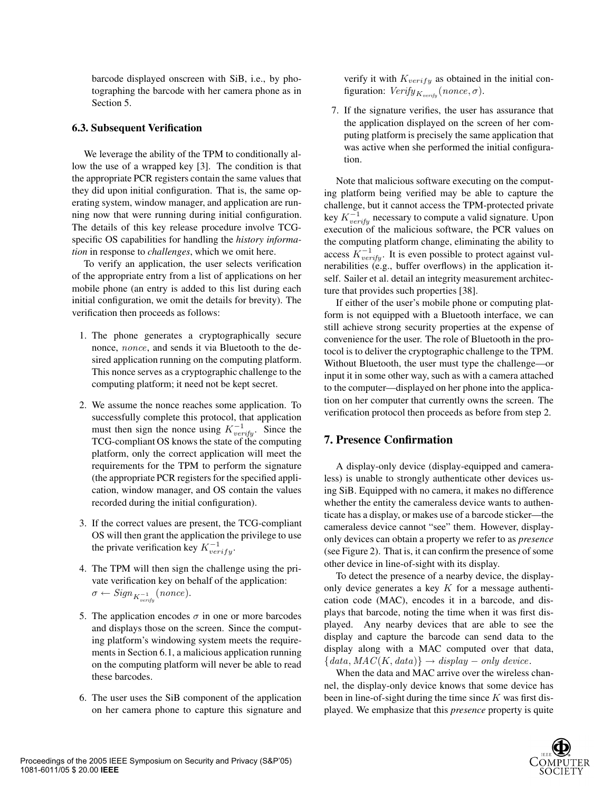barcode displayed onscreen with SiB, i.e., by photographing the barcode with her camera phone as in Section 5.

## **6.3. Subsequent Verification**

We leverage the ability of the TPM to conditionally allow the use of a wrapped key [3]. The condition is that the appropriate PCR registers contain the same values that they did upon initial configuration. That is, the same operating system, window manager, and application are running now that were running during initial configuration. The details of this key release procedure involve TCGspecific OS capabilities for handling the *history information* in response to *challenges*, which we omit here.

To verify an application, the user selects verification of the appropriate entry from a list of applications on her mobile phone (an entry is added to this list during each initial configuration, we omit the details for brevity). The verification then proceeds as follows:

- 1. The phone generates a cryptographically secure nonce, nonce, and sends it via Bluetooth to the desired application running on the computing platform. This nonce serves as a cryptographic challenge to the computing platform; it need not be kept secret.
- 2. We assume the nonce reaches some application. To successfully complete this protocol, that application must then sign the nonce using  $K_{verify}^{-1}$ . Since the TCG-compliant OS knows the state of the computing platform, only the correct application will meet the requirements for the TPM to perform the signature (the appropriate PCR registers for the specified application, window manager, and OS contain the values recorded during the initial configuration).
- 3. If the correct values are present, the TCG-compliant OS will then grant the application the privilege to use the private verification key  $K_{verify}^{-1}$ .
- 4. The TPM will then sign the challenge using the private verification key on behalf of the application:  $\sigma \leftarrow Sign_{K_{verify}^{-1}}(none).$
- 5. The application encodes  $\sigma$  in one or more barcodes and displays those on the screen. Since the computing platform's windowing system meets the requirements in Section 6.1, a malicious application running on the computing platform will never be able to read these barcodes.
- 6. The user uses the SiB component of the application on her camera phone to capture this signature and

verify it with  $K_{verify}$  as obtained in the initial configuration:  $Verify_{K_{\text{verify}}}(none, \sigma)$ .

7. If the signature verifies, the user has assurance that the application displayed on the screen of her computing platform is precisely the same application that was active when she performed the initial configuration.

Note that malicious software executing on the computing platform being verified may be able to capture the challenge, but it cannot access the TPM-protected private key  $K_{verify}^{-1}$  necessary to compute a valid signature. Upon execution of the malicious software, the PCR values on the computing platform change, eliminating the ability to access  $K_{verify}^{-1}$ . It is even possible to protect against vulnerabilities (e.g., buffer overflows) in the application itself. Sailer et al. detail an integrity measurement architecture that provides such properties [38].

If either of the user's mobile phone or computing platform is not equipped with a Bluetooth interface, we can still achieve strong security properties at the expense of convenience for the user. The role of Bluetooth in the protocol is to deliver the cryptographic challenge to the TPM. Without Bluetooth, the user must type the challenge—or input it in some other way, such as with a camera attached to the computer—displayed on her phone into the application on her computer that currently owns the screen. The verification protocol then proceeds as before from step 2.

# **7. Presence Confirmation**

A display-only device (display-equipped and cameraless) is unable to strongly authenticate other devices using SiB. Equipped with no camera, it makes no difference whether the entity the cameraless device wants to authenticate has a display, or makes use of a barcode sticker—the cameraless device cannot "see" them. However, displayonly devices can obtain a property we refer to as *presence* (see Figure 2). That is, it can confirm the presence of some other device in line-of-sight with its display.

To detect the presence of a nearby device, the displayonly device generates a key  $K$  for a message authentication code (MAC), encodes it in a barcode, and displays that barcode, noting the time when it was first displayed. Any nearby devices that are able to see the display and capture the barcode can send data to the display along with a MAC computed over that data,  ${data, MAC(K, data)} \rightarrow display - only device.$ 

When the data and MAC arrive over the wireless channel, the display-only device knows that some device has been in line-of-sight during the time since  $K$  was first displayed. We emphasize that this *presence* property is quite

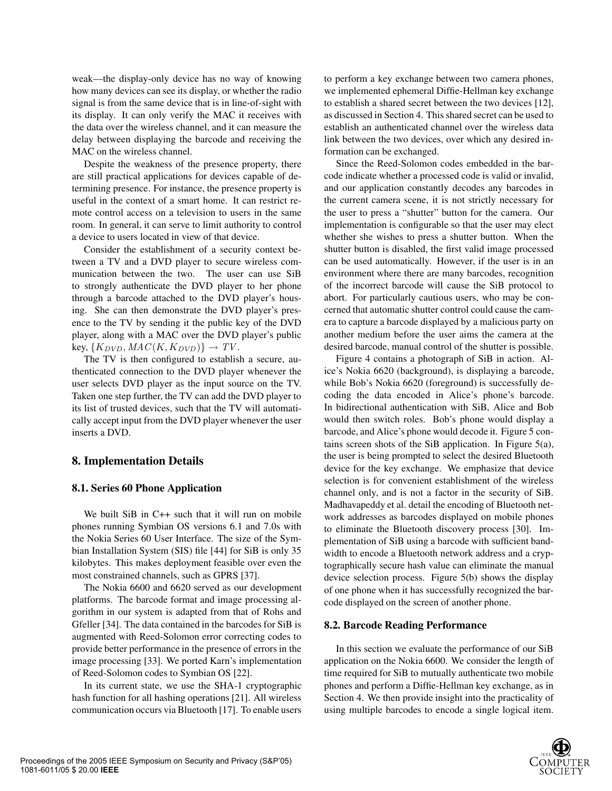weak—the display-only device has no way of knowing how many devices can see its display, or whether the radio signal is from the same device that is in line-of-sight with its display. It can only verify the MAC it receives with the data over the wireless channel, and it can measure the delay between displaying the barcode and receiving the MAC on the wireless channel.

Despite the weakness of the presence property, there are still practical applications for devices capable of determining presence. For instance, the presence property is useful in the context of a smart home. It can restrict remote control access on a television to users in the same room. In general, it can serve to limit authority to control a device to users located in view of that device.

Consider the establishment of a security context between a TV and a DVD player to secure wireless communication between the two. The user can use SiB to strongly authenticate the DVD player to her phone through a barcode attached to the DVD player's housing. She can then demonstrate the DVD player's presence to the TV by sending it the public key of the DVD player, along with a MAC over the DVD player's public key,  $\{K_{DVD}, MAC(K, K_{DVD})\} \rightarrow TV$ .

The TV is then configured to establish a secure, authenticated connection to the DVD player whenever the user selects DVD player as the input source on the TV. Taken one step further, the TV can add the DVD player to its list of trusted devices, such that the TV will automatically accept input from the DVD player whenever the user inserts a DVD.

# **8. Implementation Details**

#### **8.1. Series 60 Phone Application**

We built SiB in C++ such that it will run on mobile phones running Symbian OS versions 6.1 and 7.0s with the Nokia Series 60 User Interface. The size of the Symbian Installation System (SIS) file [44] for SiB is only 35 kilobytes. This makes deployment feasible over even the most constrained channels, such as GPRS [37].

The Nokia 6600 and 6620 served as our development platforms. The barcode format and image processing algorithm in our system is adapted from that of Rohs and Gfeller [34]. The data contained in the barcodes for SiB is augmented with Reed-Solomon error correcting codes to provide better performance in the presence of errors in the image processing [33]. We ported Karn's implementation of Reed-Solomon codes to Symbian OS [22].

In its current state, we use the SHA-1 cryptographic hash function for all hashing operations [21]. All wireless communication occurs via Bluetooth [17]. To enable users to perform a key exchange between two camera phones, we implemented ephemeral Diffie-Hellman key exchange to establish a shared secret between the two devices [12], as discussed in Section 4. This shared secret can be used to establish an authenticated channel over the wireless data link between the two devices, over which any desired information can be exchanged.

Since the Reed-Solomon codes embedded in the barcode indicate whether a processed code is valid or invalid, and our application constantly decodes any barcodes in the current camera scene, it is not strictly necessary for the user to press a "shutter" button for the camera. Our implementation is configurable so that the user may elect whether she wishes to press a shutter button. When the shutter button is disabled, the first valid image processed can be used automatically. However, if the user is in an environment where there are many barcodes, recognition of the incorrect barcode will cause the SiB protocol to abort. For particularly cautious users, who may be concerned that automatic shutter control could cause the camera to capture a barcode displayed by a malicious party on another medium before the user aims the camera at the desired barcode, manual control of the shutter is possible.

Figure 4 contains a photograph of SiB in action. Alice's Nokia 6620 (background), is displaying a barcode, while Bob's Nokia 6620 (foreground) is successfully decoding the data encoded in Alice's phone's barcode. In bidirectional authentication with SiB, Alice and Bob would then switch roles. Bob's phone would display a barcode, and Alice's phone would decode it. Figure 5 contains screen shots of the SiB application. In Figure 5(a), the user is being prompted to select the desired Bluetooth device for the key exchange. We emphasize that device selection is for convenient establishment of the wireless channel only, and is not a factor in the security of SiB. Madhavapeddy et al. detail the encoding of Bluetooth network addresses as barcodes displayed on mobile phones to eliminate the Bluetooth discovery process [30]. Implementation of SiB using a barcode with sufficient bandwidth to encode a Bluetooth network address and a cryptographically secure hash value can eliminate the manual device selection process. Figure 5(b) shows the display of one phone when it has successfully recognized the barcode displayed on the screen of another phone.

#### **8.2. Barcode Reading Performance**

In this section we evaluate the performance of our SiB application on the Nokia 6600. We consider the length of time required for SiB to mutually authenticate two mobile phones and perform a Diffie-Hellman key exchange, as in Section 4. We then provide insight into the practicality of using multiple barcodes to encode a single logical item.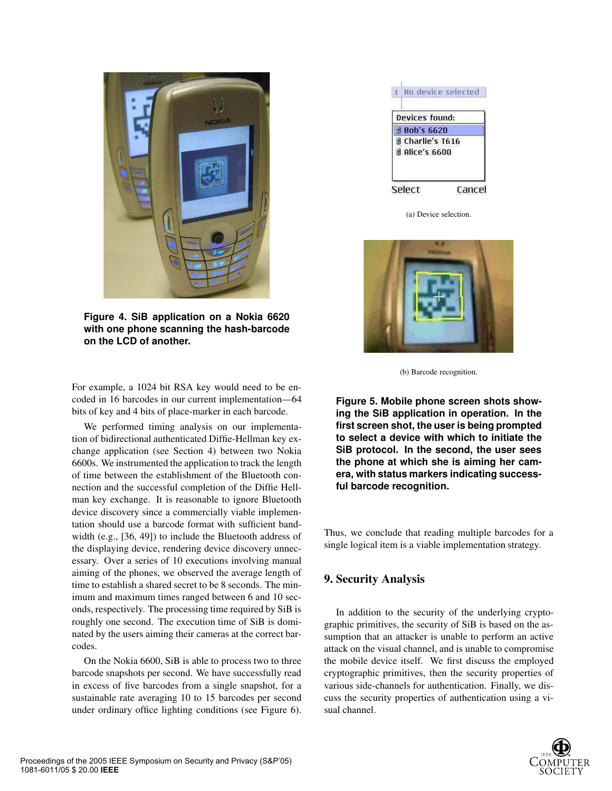

**Figure 4. SiB application on a Nokia 6620 with one phone scanning the hash-barcode on the LCD of another.**

For example, a 1024 bit RSA key would need to be encoded in 16 barcodes in our current implementation—64 bits of key and 4 bits of place-marker in each barcode.

We performed timing analysis on our implementation of bidirectional authenticated Diffie-Hellman key exchange application (see Section 4) between two Nokia 6600s. We instrumented the application to track the length of time between the establishment of the Bluetooth connection and the successful completion of the Diffie Hellman key exchange. It is reasonable to ignore Bluetooth device discovery since a commercially viable implementation should use a barcode format with sufficient bandwidth (e.g., [36, 49]) to include the Bluetooth address of the displaying device, rendering device discovery unnecessary. Over a series of 10 executions involving manual aiming of the phones, we observed the average length of time to establish a shared secret to be 8 seconds. The minimum and maximum times ranged between 6 and 10 seconds, respectively. The processing time required by SiB is roughly one second. The execution time of SiB is dominated by the users aiming their cameras at the correct barcodes.

On the Nokia 6600, SiB is able to process two to three barcode snapshots per second. We have successfully read in excess of five barcodes from a single snapshot, for a sustainable rate averaging 10 to 15 barcodes per second under ordinary office lighting conditions (see Figure 6).



(a) Device selection.



(b) Barcode recognition.

**Figure 5. Mobile phone screen shots showing the SiB application in operation. In the first screen shot, the user is being prompted to select a device with which to initiate the SiB protocol. In the second, the user sees the phone at which she is aiming her camera, with status markers indicating successful barcode recognition.**

Thus, we conclude that reading multiple barcodes for a single logical item is a viable implementation strategy.

# **9. Security Analysis**

In addition to the security of the underlying cryptographic primitives, the security of SiB is based on the assumption that an attacker is unable to perform an active attack on the visual channel, and is unable to compromise the mobile device itself. We first discuss the employed cryptographic primitives, then the security properties of various side-channels for authentication. Finally, we discuss the security properties of authentication using a visual channel.

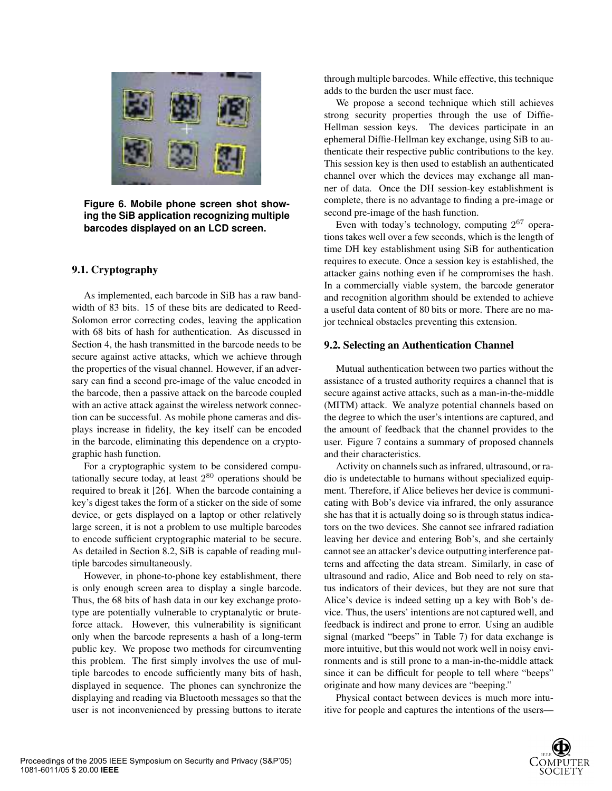

**Figure 6. Mobile phone screen shot showing the SiB application recognizing multiple barcodes displayed on an LCD screen.**

#### **9.1. Cryptography**

As implemented, each barcode in SiB has a raw bandwidth of 83 bits. 15 of these bits are dedicated to Reed-Solomon error correcting codes, leaving the application with 68 bits of hash for authentication. As discussed in Section 4, the hash transmitted in the barcode needs to be secure against active attacks, which we achieve through the properties of the visual channel. However, if an adversary can find a second pre-image of the value encoded in the barcode, then a passive attack on the barcode coupled with an active attack against the wireless network connection can be successful. As mobile phone cameras and displays increase in fidelity, the key itself can be encoded in the barcode, eliminating this dependence on a cryptographic hash function.

For a cryptographic system to be considered computationally secure today, at least  $2^{80}$  operations should be required to break it [26]. When the barcode containing a key's digest takes the form of a sticker on the side of some device, or gets displayed on a laptop or other relatively large screen, it is not a problem to use multiple barcodes to encode sufficient cryptographic material to be secure. As detailed in Section 8.2, SiB is capable of reading multiple barcodes simultaneously.

However, in phone-to-phone key establishment, there is only enough screen area to display a single barcode. Thus, the 68 bits of hash data in our key exchange prototype are potentially vulnerable to cryptanalytic or bruteforce attack. However, this vulnerability is significant only when the barcode represents a hash of a long-term public key. We propose two methods for circumventing this problem. The first simply involves the use of multiple barcodes to encode sufficiently many bits of hash, displayed in sequence. The phones can synchronize the displaying and reading via Bluetooth messages so that the user is not inconvenienced by pressing buttons to iterate through multiple barcodes. While effective, this technique adds to the burden the user must face.

We propose a second technique which still achieves strong security properties through the use of Diffie-Hellman session keys. The devices participate in an ephemeral Diffie-Hellman key exchange, using SiB to authenticate their respective public contributions to the key. This session key is then used to establish an authenticated channel over which the devices may exchange all manner of data. Once the DH session-key establishment is complete, there is no advantage to finding a pre-image or second pre-image of the hash function.

Even with today's technology, computing 2<sup>67</sup> operations takes well over a few seconds, which is the length of time DH key establishment using SiB for authentication requires to execute. Once a session key is established, the attacker gains nothing even if he compromises the hash. In a commercially viable system, the barcode generator and recognition algorithm should be extended to achieve a useful data content of 80 bits or more. There are no major technical obstacles preventing this extension.

#### **9.2. Selecting an Authentication Channel**

Mutual authentication between two parties without the assistance of a trusted authority requires a channel that is secure against active attacks, such as a man-in-the-middle (MITM) attack. We analyze potential channels based on the degree to which the user's intentions are captured, and the amount of feedback that the channel provides to the user. Figure 7 contains a summary of proposed channels and their characteristics.

Activity on channels such as infrared, ultrasound, or radio is undetectable to humans without specialized equipment. Therefore, if Alice believes her device is communicating with Bob's device via infrared, the only assurance she has that it is actually doing so is through status indicators on the two devices. She cannot see infrared radiation leaving her device and entering Bob's, and she certainly cannot see an attacker's device outputting interference patterns and affecting the data stream. Similarly, in case of ultrasound and radio, Alice and Bob need to rely on status indicators of their devices, but they are not sure that Alice's device is indeed setting up a key with Bob's device. Thus, the users' intentions are not captured well, and feedback is indirect and prone to error. Using an audible signal (marked "beeps" in Table 7) for data exchange is more intuitive, but this would not work well in noisy environments and is still prone to a man-in-the-middle attack since it can be difficult for people to tell where "beeps" originate and how many devices are "beeping."

Physical contact between devices is much more intuitive for people and captures the intentions of the users—

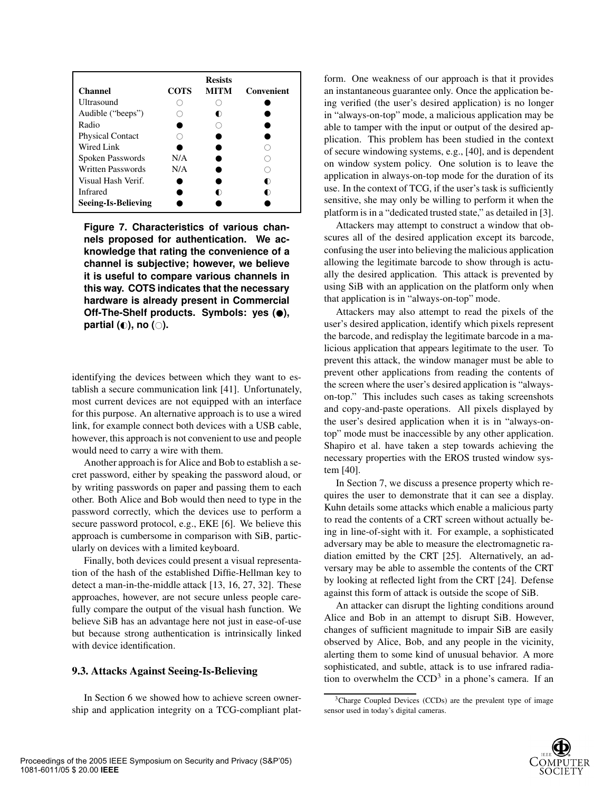|                          |             | <b>Resists</b> |            |
|--------------------------|-------------|----------------|------------|
| <b>Channel</b>           | <b>COTS</b> | <b>MITM</b>    | Convenient |
| <b>Ultrasound</b>        |             |                |            |
| Audible ("beeps")        |             |                |            |
| Radio                    |             |                |            |
| <b>Physical Contact</b>  |             |                |            |
| Wired Link               |             |                |            |
| Spoken Passwords         | N/A         |                |            |
| <b>Written Passwords</b> | N/A         |                |            |
| Visual Hash Verif.       |             |                |            |
| Infrared                 |             |                |            |
| Seeing-Is-Believing      |             |                |            |

**Figure 7. Characteristics of various channels proposed for authentication. We acknowledge that rating the convenience of a channel is subjective; however, we believe it is useful to compare various channels in this way. COTS indicates that the necessary hardware is already present in Commercial Off-The-Shelf products. Symbols: yes (), partial (**-**), no ().**

identifying the devices between which they want to establish a secure communication link [41]. Unfortunately, most current devices are not equipped with an interface for this purpose. An alternative approach is to use a wired link, for example connect both devices with a USB cable, however, this approach is not convenient to use and people would need to carry a wire with them.

Another approach is for Alice and Bob to establish a secret password, either by speaking the password aloud, or by writing passwords on paper and passing them to each other. Both Alice and Bob would then need to type in the password correctly, which the devices use to perform a secure password protocol, e.g., EKE [6]. We believe this approach is cumbersome in comparison with SiB, particularly on devices with a limited keyboard.

Finally, both devices could present a visual representation of the hash of the established Diffie-Hellman key to detect a man-in-the-middle attack [13, 16, 27, 32]. These approaches, however, are not secure unless people carefully compare the output of the visual hash function. We believe SiB has an advantage here not just in ease-of-use but because strong authentication is intrinsically linked with device identification.

#### **9.3. Attacks Against Seeing-Is-Believing**

In Section 6 we showed how to achieve screen ownership and application integrity on a TCG-compliant platform. One weakness of our approach is that it provides an instantaneous guarantee only. Once the application being verified (the user's desired application) is no longer in "always-on-top" mode, a malicious application may be able to tamper with the input or output of the desired application. This problem has been studied in the context of secure windowing systems, e.g., [40], and is dependent on window system policy. One solution is to leave the application in always-on-top mode for the duration of its use. In the context of TCG, if the user's task is sufficiently sensitive, she may only be willing to perform it when the platform is in a "dedicated trusted state," as detailed in [3].

Attackers may attempt to construct a window that obscures all of the desired application except its barcode, confusing the user into believing the malicious application allowing the legitimate barcode to show through is actually the desired application. This attack is prevented by using SiB with an application on the platform only when that application is in "always-on-top" mode.

Attackers may also attempt to read the pixels of the user's desired application, identify which pixels represent the barcode, and redisplay the legitimate barcode in a malicious application that appears legitimate to the user. To prevent this attack, the window manager must be able to prevent other applications from reading the contents of the screen where the user's desired application is "alwayson-top." This includes such cases as taking screenshots and copy-and-paste operations. All pixels displayed by the user's desired application when it is in "always-ontop" mode must be inaccessible by any other application. Shapiro et al. have taken a step towards achieving the necessary properties with the EROS trusted window system [40].

In Section 7, we discuss a presence property which requires the user to demonstrate that it can see a display. Kuhn details some attacks which enable a malicious party to read the contents of a CRT screen without actually being in line-of-sight with it. For example, a sophisticated adversary may be able to measure the electromagnetic radiation emitted by the CRT [25]. Alternatively, an adversary may be able to assemble the contents of the CRT by looking at reflected light from the CRT [24]. Defense against this form of attack is outside the scope of SiB.

An attacker can disrupt the lighting conditions around Alice and Bob in an attempt to disrupt SiB. However, changes of sufficient magnitude to impair SiB are easily observed by Alice, Bob, and any people in the vicinity, alerting them to some kind of unusual behavior. A more sophisticated, and subtle, attack is to use infrared radiation to overwhelm the  $CCD<sup>3</sup>$  in a phone's camera. If an

<sup>3</sup>Charge Coupled Devices (CCDs) are the prevalent type of image sensor used in today's digital cameras.

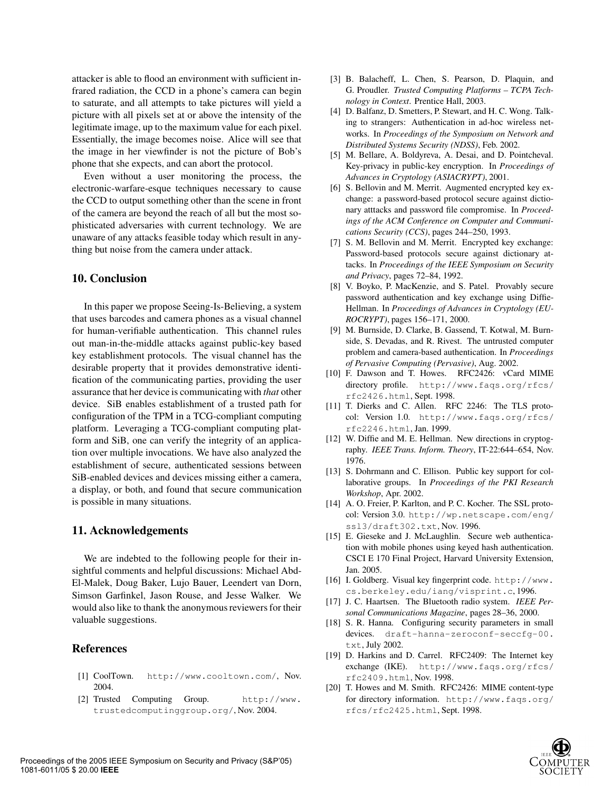attacker is able to flood an environment with sufficient infrared radiation, the CCD in a phone's camera can begin to saturate, and all attempts to take pictures will yield a picture with all pixels set at or above the intensity of the legitimate image, up to the maximum value for each pixel. Essentially, the image becomes noise. Alice will see that the image in her viewfinder is not the picture of Bob's phone that she expects, and can abort the protocol.

Even without a user monitoring the process, the electronic-warfare-esque techniques necessary to cause the CCD to output something other than the scene in front of the camera are beyond the reach of all but the most sophisticated adversaries with current technology. We are unaware of any attacks feasible today which result in anything but noise from the camera under attack.

#### **10. Conclusion**

In this paper we propose Seeing-Is-Believing, a system that uses barcodes and camera phones as a visual channel for human-verifiable authentication. This channel rules out man-in-the-middle attacks against public-key based key establishment protocols. The visual channel has the desirable property that it provides demonstrative identification of the communicating parties, providing the user assurance that her device is communicating with *that* other device. SiB enables establishment of a trusted path for configuration of the TPM in a TCG-compliant computing platform. Leveraging a TCG-compliant computing platform and SiB, one can verify the integrity of an application over multiple invocations. We have also analyzed the establishment of secure, authenticated sessions between SiB-enabled devices and devices missing either a camera, a display, or both, and found that secure communication is possible in many situations.

#### **11. Acknowledgements**

We are indebted to the following people for their insightful comments and helpful discussions: Michael Abd-El-Malek, Doug Baker, Lujo Bauer, Leendert van Dorn, Simson Garfinkel, Jason Rouse, and Jesse Walker. We would also like to thank the anonymous reviewers for their valuable suggestions.

# **References**

- [1] CoolTown. http://www.cooltown.com/, Nov. 2004.
- [2] Trusted Computing Group. http://www. trustedcomputinggroup.org/, Nov. 2004.
- [3] B. Balacheff, L. Chen, S. Pearson, D. Plaquin, and G. Proudler. *Trusted Computing Platforms – TCPA Technology in Context*. Prentice Hall, 2003.
- [4] D. Balfanz, D. Smetters, P. Stewart, and H. C. Wong. Talking to strangers: Authentication in ad-hoc wireless networks. In *Proceedings of the Symposium on Network and Distributed Systems Security (NDSS)*, Feb. 2002.
- [5] M. Bellare, A. Boldyreva, A. Desai, and D. Pointcheval. Key-privacy in public-key encryption. In *Proceedings of Advances in Cryptology (ASIACRYPT)*, 2001.
- [6] S. Bellovin and M. Merrit. Augmented encrypted key exchange: a password-based protocol secure against dictionary atttacks and password file compromise. In *Proceedings of the ACM Conference on Computer and Communications Security (CCS)*, pages 244–250, 1993.
- [7] S. M. Bellovin and M. Merrit. Encrypted key exchange: Password-based protocols secure against dictionary attacks. In *Proceedings of the IEEE Symposium on Security and Privacy*, pages 72–84, 1992.
- [8] V. Boyko, P. MacKenzie, and S. Patel. Provably secure password authentication and key exchange using Diffie-Hellman. In *Proceedings of Advances in Cryptology (EU-ROCRYPT)*, pages 156–171, 2000.
- [9] M. Burnside, D. Clarke, B. Gassend, T. Kotwal, M. Burnside, S. Devadas, and R. Rivest. The untrusted computer problem and camera-based authentication. In *Proceedings of Pervasive Computing (Pervasive)*, Aug. 2002.
- [10] F. Dawson and T. Howes. RFC2426: vCard MIME directory profile. http://www.faqs.org/rfcs/ rfc2426.html, Sept. 1998.
- [11] T. Dierks and C. Allen. RFC 2246: The TLS protocol: Version 1.0. http://www.faqs.org/rfcs/ rfc2246.html, Jan. 1999.
- [12] W. Diffie and M. E. Hellman. New directions in cryptography. *IEEE Trans. Inform. Theory*, IT-22:644–654, Nov. 1976.
- [13] S. Dohrmann and C. Ellison. Public key support for collaborative groups. In *Proceedings of the PKI Research Workshop*, Apr. 2002.
- [14] A. O. Freier, P. Karlton, and P. C. Kocher. The SSL protocol: Version 3.0. http://wp.netscape.com/eng/ ssl3/draft302.txt, Nov. 1996.
- [15] E. Gieseke and J. McLaughlin. Secure web authentication with mobile phones using keyed hash authentication. CSCI E 170 Final Project, Harvard University Extension, Jan. 2005.
- [16] I. Goldberg. Visual key fingerprint code. http://www. cs.berkeley.edu/iang/visprint.c, 1996.
- [17] J. C. Haartsen. The Bluetooth radio system. *IEEE Personal Communications Magazine*, pages 28–36, 2000.
- [18] S. R. Hanna. Configuring security parameters in small devices. draft-hanna-zeroconf-seccfg-00. txt, July 2002.
- [19] D. Harkins and D. Carrel. RFC2409: The Internet key exchange (IKE). http://www.faqs.org/rfcs/ rfc2409.html, Nov. 1998.
- [20] T. Howes and M. Smith. RFC2426: MIME content-type for directory information. http://www.faqs.org/ rfcs/rfc2425.html, Sept. 1998.